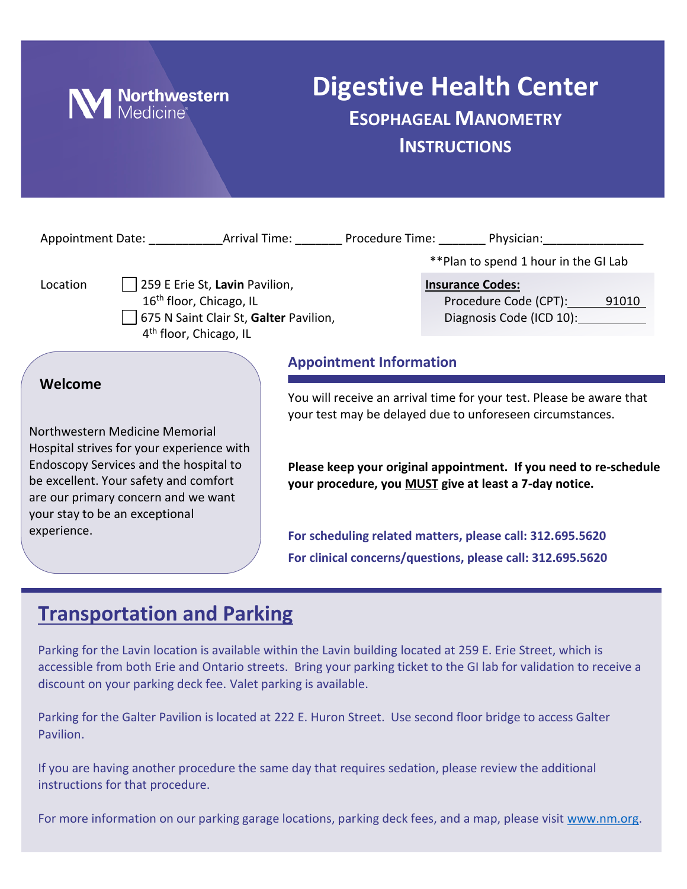

## **Digestive Health Center ESOPHAGEAL MANOMETRY INSTRUCTIONS**

|                                                                                                                                                          |                                                                                                                                                       |                                | Appointment Date: ______________Arrival Time: __________ Procedure Time: _________ Physician: ________________                    |
|----------------------------------------------------------------------------------------------------------------------------------------------------------|-------------------------------------------------------------------------------------------------------------------------------------------------------|--------------------------------|-----------------------------------------------------------------------------------------------------------------------------------|
|                                                                                                                                                          |                                                                                                                                                       |                                | **Plan to spend 1 hour in the GI Lab                                                                                              |
| Location                                                                                                                                                 | 259 E Erie St, Lavin Pavilion,<br>16 <sup>th</sup> floor, Chicago, IL<br>675 N Saint Clair St, Galter Pavilion,<br>4 <sup>th</sup> floor, Chicago, IL |                                | <b>Insurance Codes:</b><br>Procedure Code (CPT): 91010<br>Diagnosis Code (ICD 10):                                                |
|                                                                                                                                                          |                                                                                                                                                       | <b>Appointment Information</b> |                                                                                                                                   |
| Welcome<br>Northwestern Medicine Memorial<br>Hospital strives for your experience with                                                                   |                                                                                                                                                       |                                | You will receive an arrival time for your test. Please be aware that<br>your test may be delayed due to unforeseen circumstances. |
| Endoscopy Services and the hospital to<br>be excellent. Your safety and comfort<br>are our primary concern and we want<br>your stay to be an exceptional |                                                                                                                                                       |                                | Please keep your original appointment. If you need to re-schedule<br>your procedure, you MUST give at least a 7-day notice.       |
| experience.                                                                                                                                              |                                                                                                                                                       |                                | For scheduling related matters, please call: 312.695.5620                                                                         |
|                                                                                                                                                          |                                                                                                                                                       |                                | For clinical concerns/questions, please call: 312.695.5620                                                                        |

## **Transportation and Parking**

Parking for the Lavin location is available within the Lavin building located at 259 E. Erie Street, which is accessible from both Erie and Ontario streets. Bring your parking ticket to the GI lab for validation to receive a discount on your parking deck fee. Valet parking is available.

Parking for the Galter Pavilion is located at 222 E. Huron Street. Use second floor bridge to access Galter Pavilion.

If you are having another procedure the same day that requires sedation, please review the additional instructions for that procedure.

For more information on our parking garage locations, parking deck fees, and a map, please visit [www.nm.org.](http://www.nm.org/)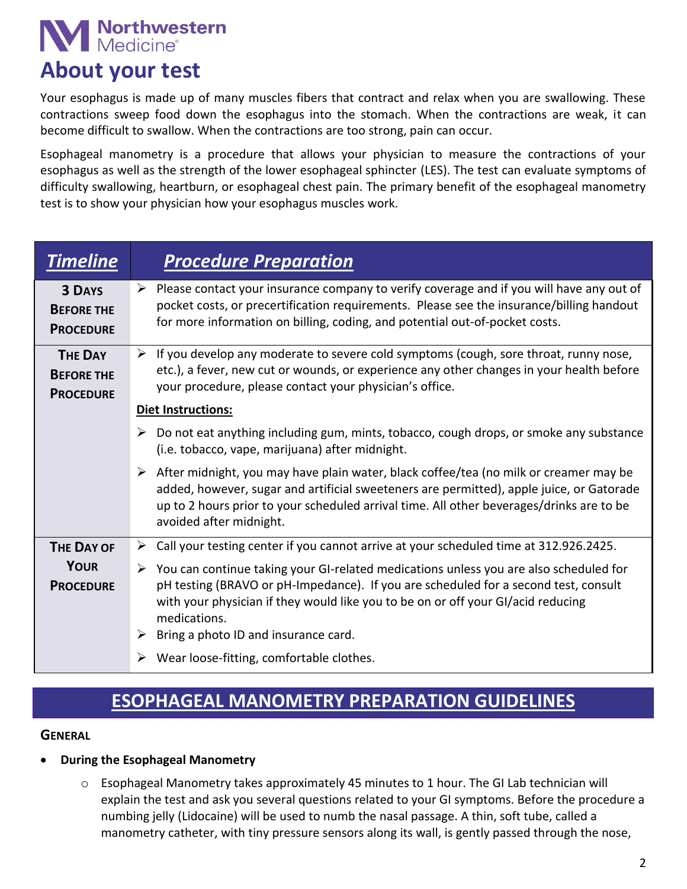# **Northwestern**<br>Medicine®

## **About your test**

Your esophagus is made up of many muscles fibers that contract and relax when you are swallowing. These contractions sweep food down the esophagus into the stomach. When the contractions are weak, it can become difficult to swallow. When the contractions are too strong, pain can occur.

Esophageal manometry is a procedure that allows your physician to measure the contractions of your esophagus as well as the strength of the lower esophageal sphincter (LES). The test can evaluate symptoms of difficulty swallowing, heartburn, or esophageal chest pain. The primary benefit of the esophageal manometry test is to show your physician how your esophagus muscles work.

| <b>Timeline</b>                                         | <b>Procedure Preparation</b>                                                                                                                                                                                                                                                                                                                   |
|---------------------------------------------------------|------------------------------------------------------------------------------------------------------------------------------------------------------------------------------------------------------------------------------------------------------------------------------------------------------------------------------------------------|
| <b>3 DAYS</b><br><b>BEFORE THE</b><br><b>PROCEDURE</b>  | $\triangleright$ Please contact your insurance company to verify coverage and if you will have any out of<br>pocket costs, or precertification requirements. Please see the insurance/billing handout<br>for more information on billing, coding, and potential out-of-pocket costs.                                                           |
| <b>THE DAY</b><br><b>BEFORE THE</b><br><b>PROCEDURE</b> | $\triangleright$ If you develop any moderate to severe cold symptoms (cough, sore throat, runny nose,<br>etc.), a fever, new cut or wounds, or experience any other changes in your health before<br>your procedure, please contact your physician's office.                                                                                   |
|                                                         | <b>Diet Instructions:</b>                                                                                                                                                                                                                                                                                                                      |
|                                                         | Do not eat anything including gum, mints, tobacco, cough drops, or smoke any substance<br>➤<br>(i.e. tobacco, vape, marijuana) after midnight.                                                                                                                                                                                                 |
|                                                         | $\triangleright$ After midnight, you may have plain water, black coffee/tea (no milk or creamer may be<br>added, however, sugar and artificial sweeteners are permitted), apple juice, or Gatorade<br>up to 2 hours prior to your scheduled arrival time. All other beverages/drinks are to be<br>avoided after midnight.                      |
| <b>THE DAY OF</b>                                       | > Call your testing center if you cannot arrive at your scheduled time at 312.926.2425.                                                                                                                                                                                                                                                        |
| <b>YOUR</b><br><b>PROCEDURE</b>                         | $\triangleright$ You can continue taking your GI-related medications unless you are also scheduled for<br>pH testing (BRAVO or pH-Impedance). If you are scheduled for a second test, consult<br>with your physician if they would like you to be on or off your GI/acid reducing<br>medications.<br>Bring a photo ID and insurance card.<br>➤ |
|                                                         | Wear loose-fitting, comfortable clothes.                                                                                                                                                                                                                                                                                                       |

## **ESOPHAGEAL MANOMETRY PREPARATION GUIDELINES**

#### **GENERAL**

#### **During the Esophageal Manometry**

 $\circ$  Esophageal Manometry takes approximately 45 minutes to 1 hour. The GI Lab technician will explain the test and ask you several questions related to your GI symptoms. Before the procedure a numbing jelly (Lidocaine) will be used to numb the nasal passage. A thin, soft tube, called a manometry catheter, with tiny pressure sensors along its wall, is gently passed through the nose,